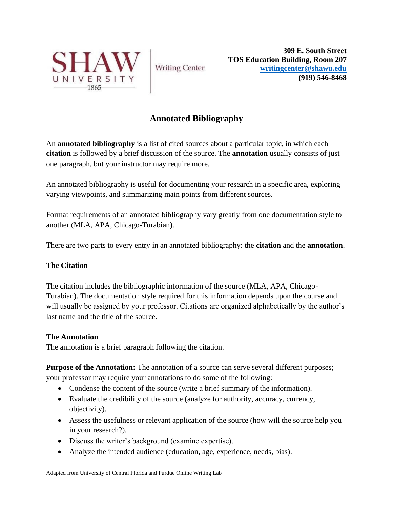

**Writing Center** 

**309 E. South Street TOS Education Building, Room 207 [writingcenter@shawu.edu](mailto:writingcenter@shawu.edu) (919) 546-8468**

## **Annotated Bibliography**

An **annotated bibliography** is a list of cited sources about a particular topic, in which each **citation** is followed by a brief discussion of the source. The **annotation** usually consists of just one paragraph, but your instructor may require more.

An annotated bibliography is useful for documenting your research in a specific area, exploring varying viewpoints, and summarizing main points from different sources.

Format requirements of an annotated bibliography vary greatly from one documentation style to another (MLA, APA, Chicago-Turabian).

There are two parts to every entry in an annotated bibliography: the **citation** and the **annotation**.

## **The Citation**

The citation includes the bibliographic information of the source (MLA, APA, Chicago-Turabian). The documentation style required for this information depends upon the course and will usually be assigned by your professor. Citations are organized alphabetically by the author's last name and the title of the source.

## **The Annotation**

The annotation is a brief paragraph following the citation.

**Purpose of the Annotation:** The annotation of a source can serve several different purposes; your professor may require your annotations to do some of the following:

- Condense the content of the source (write a brief summary of the information).
- Evaluate the credibility of the source (analyze for authority, accuracy, currency, objectivity).
- Assess the usefulness or relevant application of the source (how will the source help you in your research?).
- Discuss the writer's background (examine expertise).
- Analyze the intended audience (education, age, experience, needs, bias).